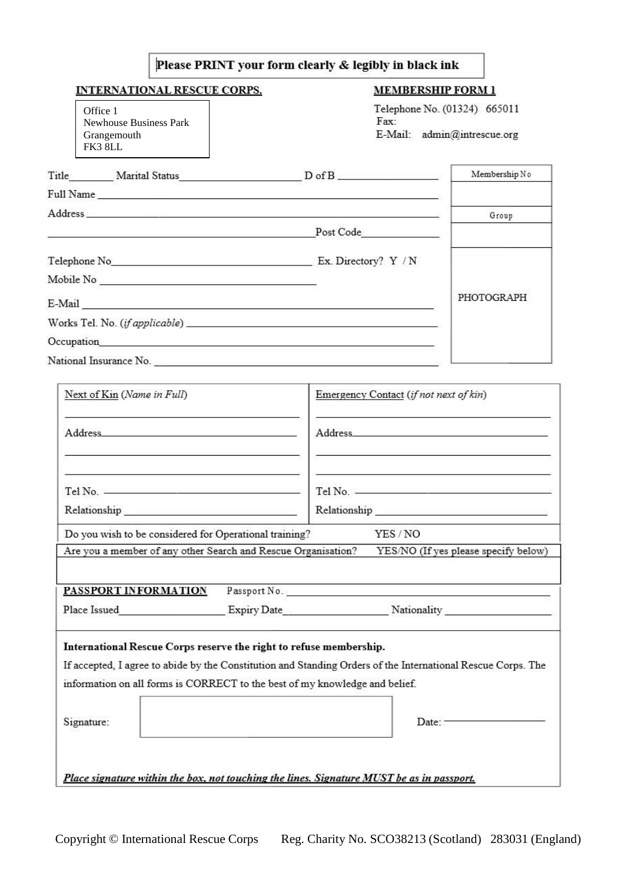| Please PRINT your form clearly & legibly in black ink |  |  |  |  |
|-------------------------------------------------------|--|--|--|--|
|-------------------------------------------------------|--|--|--|--|

## **INTERNATIONAL RESCUE CORPS.**

Office 1 Newhouse Business Park Grangemouth FK3 8LL

## **MEMBERSHIP FORM 1**

Telephone No. (01324) 665011 Fax: E-Mail: admin@intrescue.org

| Title Marital Status Marital Status | $D$ of B                                                                                                                                                                                                                       | Membership No |
|-------------------------------------|--------------------------------------------------------------------------------------------------------------------------------------------------------------------------------------------------------------------------------|---------------|
| Full Name                           |                                                                                                                                                                                                                                |               |
|                                     |                                                                                                                                                                                                                                | Group         |
|                                     | Post Code                                                                                                                                                                                                                      |               |
|                                     | Telephone No Ex. Directory? Y / N                                                                                                                                                                                              |               |
|                                     |                                                                                                                                                                                                                                |               |
|                                     | E-Mail Property of the contract of the contract of the contract of the contract of the contract of the contract of the contract of the contract of the contract of the contract of the contract of the contract of the contrac | PHOTOGRAPH    |
|                                     |                                                                                                                                                                                                                                |               |
|                                     |                                                                                                                                                                                                                                |               |
| National Insurance No.              |                                                                                                                                                                                                                                |               |

| Next of Kin (Name in Full)                                                                                                                                                                                                     | Emergency Contact (if not next of kin)                                                                                                                                                                                                                     |
|--------------------------------------------------------------------------------------------------------------------------------------------------------------------------------------------------------------------------------|------------------------------------------------------------------------------------------------------------------------------------------------------------------------------------------------------------------------------------------------------------|
| Address and the contract of the contract of the contract of the contract of the contract of the contract of the contract of the contract of the contract of the contract of the contract of the contract of the contract of th | Address                                                                                                                                                                                                                                                    |
|                                                                                                                                                                                                                                | $Tel No.$ $\qquad \qquad$<br>Relationship Property and the contract of the contract of the contract of the contract of the contract of the contract of the contract of the contract of the contract of the contract of the contract of the contract of the |
| Do you wish to be considered for Operational training?                                                                                                                                                                         | YES / NO                                                                                                                                                                                                                                                   |
|                                                                                                                                                                                                                                | Are you a member of any other Search and Rescue Organisation? YES/NO (If yes please specify below)                                                                                                                                                         |
|                                                                                                                                                                                                                                |                                                                                                                                                                                                                                                            |
| PASSPORT INFORMATION                                                                                                                                                                                                           |                                                                                                                                                                                                                                                            |
|                                                                                                                                                                                                                                |                                                                                                                                                                                                                                                            |
| International Rescue Corps reserve the right to refuse membership.                                                                                                                                                             |                                                                                                                                                                                                                                                            |
|                                                                                                                                                                                                                                | If accepted, I agree to abide by the Constitution and Standing Orders of the International Rescue Corps. The                                                                                                                                               |
| information on all forms is CORRECT to the best of my knowledge and belief.                                                                                                                                                    |                                                                                                                                                                                                                                                            |
| Signature:                                                                                                                                                                                                                     | $Date =$                                                                                                                                                                                                                                                   |
|                                                                                                                                                                                                                                |                                                                                                                                                                                                                                                            |
| Place signature within the box, not touching the lines. Signature MUST be as in passport.                                                                                                                                      |                                                                                                                                                                                                                                                            |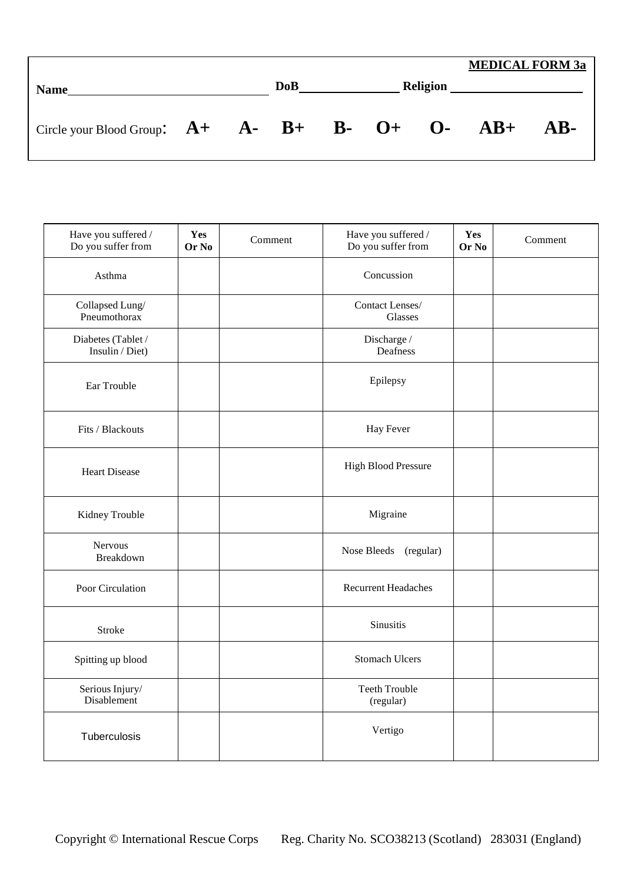|                                                              |  |            |  | <b>MEDICAL FORM 3a</b> |  |
|--------------------------------------------------------------|--|------------|--|------------------------|--|
| <b>Name</b>                                                  |  | <b>DoB</b> |  |                        |  |
| Circle your Blood Group: $A + A - B + B - O + O - AB + AB -$ |  |            |  |                        |  |

| Have you suffered /<br>Do you suffer from | Yes<br>Or No | Comment | Yes<br>Have you suffered /<br>Comment<br>Do you suffer from<br>Or No |  |  |
|-------------------------------------------|--------------|---------|----------------------------------------------------------------------|--|--|
| Asthma                                    |              |         | Concussion                                                           |  |  |
| Collapsed Lung/<br>Pneumothorax           |              |         | Contact Lenses/<br>Glasses                                           |  |  |
| Diabetes (Tablet /<br>Insulin / Diet)     |              |         | $\ensuremath{\text{Discharge}}\xspace$ /<br>Deafness                 |  |  |
| Ear Trouble                               |              |         | Epilepsy                                                             |  |  |
| Fits / Blackouts                          |              |         | Hay Fever                                                            |  |  |
| <b>Heart Disease</b>                      |              |         | <b>High Blood Pressure</b>                                           |  |  |
| Kidney Trouble                            |              |         | Migraine                                                             |  |  |
| Nervous<br>Breakdown                      |              |         | Nose Bleeds (regular)                                                |  |  |
| Poor Circulation                          |              |         | <b>Recurrent Headaches</b>                                           |  |  |
| Stroke                                    |              |         | Sinusitis                                                            |  |  |
| Spitting up blood                         |              |         | <b>Stomach Ulcers</b>                                                |  |  |
| Serious Injury/<br>Disablement            |              |         | <b>Teeth Trouble</b><br>(regular)                                    |  |  |
| Tuberculosis                              |              |         | Vertigo                                                              |  |  |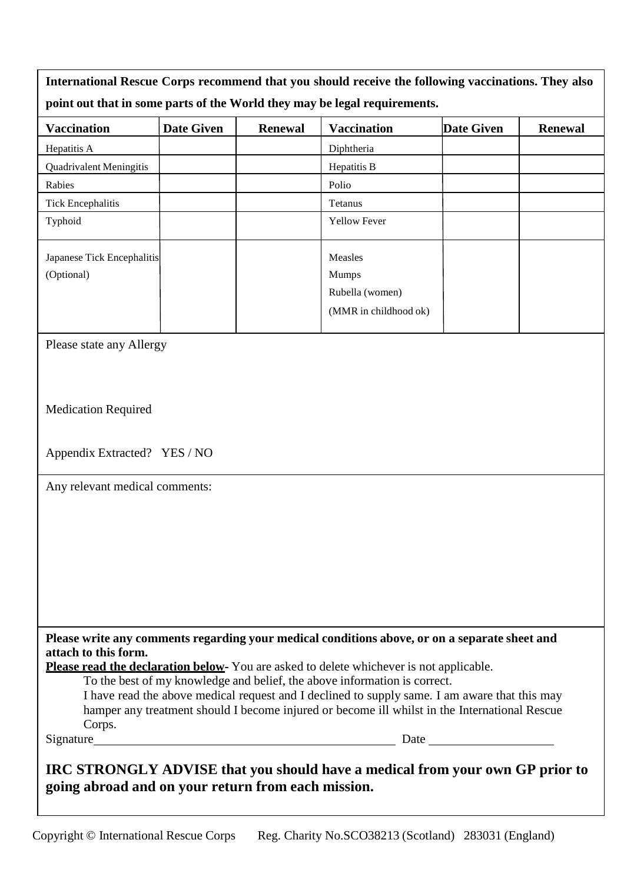| International Rescue Corps recommend that you should receive the following vaccinations. They also                                                                                                                                                                                                                                                                                                                                                                                                                            |                   |                |                                                                              |                   |                |  |
|-------------------------------------------------------------------------------------------------------------------------------------------------------------------------------------------------------------------------------------------------------------------------------------------------------------------------------------------------------------------------------------------------------------------------------------------------------------------------------------------------------------------------------|-------------------|----------------|------------------------------------------------------------------------------|-------------------|----------------|--|
| point out that in some parts of the World they may be legal requirements.                                                                                                                                                                                                                                                                                                                                                                                                                                                     |                   |                |                                                                              |                   |                |  |
| <b>Vaccination</b>                                                                                                                                                                                                                                                                                                                                                                                                                                                                                                            | <b>Date Given</b> | <b>Renewal</b> | <b>Vaccination</b>                                                           | <b>Date Given</b> | <b>Renewal</b> |  |
| Hepatitis A                                                                                                                                                                                                                                                                                                                                                                                                                                                                                                                   |                   |                | Diphtheria                                                                   |                   |                |  |
| <b>Quadrivalent Meningitis</b>                                                                                                                                                                                                                                                                                                                                                                                                                                                                                                |                   |                | Hepatitis B                                                                  |                   |                |  |
| Rabies                                                                                                                                                                                                                                                                                                                                                                                                                                                                                                                        |                   |                | Polio                                                                        |                   |                |  |
| <b>Tick Encephalitis</b>                                                                                                                                                                                                                                                                                                                                                                                                                                                                                                      |                   |                | Tetanus                                                                      |                   |                |  |
| Typhoid                                                                                                                                                                                                                                                                                                                                                                                                                                                                                                                       |                   |                | <b>Yellow Fever</b>                                                          |                   |                |  |
| Japanese Tick Encephalitis<br>(Optional)                                                                                                                                                                                                                                                                                                                                                                                                                                                                                      |                   |                | Measles<br>Mumps                                                             |                   |                |  |
|                                                                                                                                                                                                                                                                                                                                                                                                                                                                                                                               |                   |                | Rubella (women)                                                              |                   |                |  |
|                                                                                                                                                                                                                                                                                                                                                                                                                                                                                                                               |                   |                | (MMR in childhood ok)                                                        |                   |                |  |
| Please state any Allergy<br><b>Medication Required</b><br>Appendix Extracted? YES / NO<br>Any relevant medical comments:                                                                                                                                                                                                                                                                                                                                                                                                      |                   |                |                                                                              |                   |                |  |
|                                                                                                                                                                                                                                                                                                                                                                                                                                                                                                                               |                   |                |                                                                              |                   |                |  |
| Please write any comments regarding your medical conditions above, or on a separate sheet and<br>attach to this form.<br><b>Please read the declaration below-</b> You are asked to delete whichever is not applicable.<br>To the best of my knowledge and belief, the above information is correct.<br>I have read the above medical request and I declined to supply same. I am aware that this may<br>hamper any treatment should I become injured or become ill whilst in the International Rescue<br>Corps.<br>Signature |                   |                |                                                                              |                   |                |  |
| going abroad and on your return from each mission.                                                                                                                                                                                                                                                                                                                                                                                                                                                                            |                   |                | IRC STRONGLY ADVISE that you should have a medical from your own GP prior to |                   |                |  |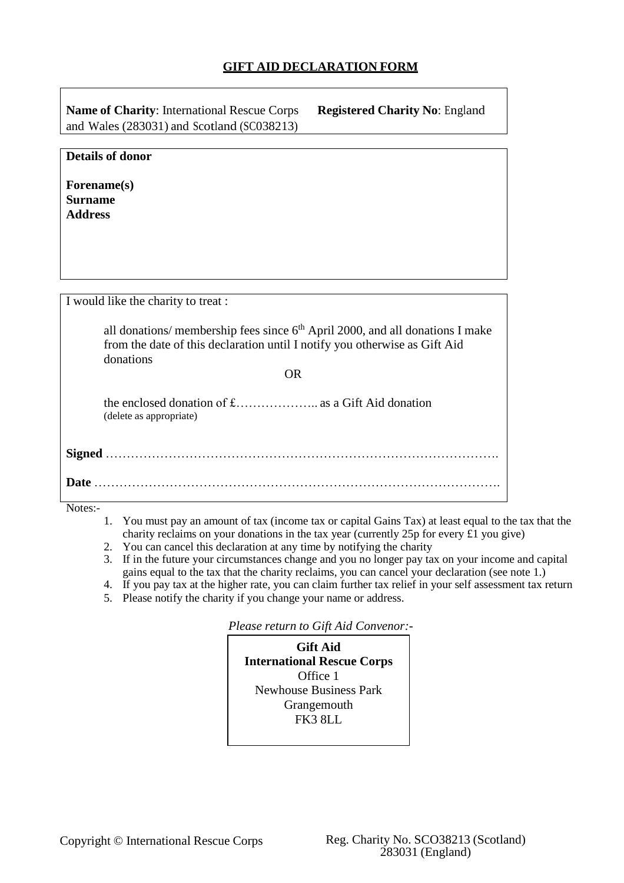# **GIFT AID DECLARATION FORM**

**Name of Charity**: International Rescue Corps **Registered Charity No**: England and Wales (283031) and Scotland (SC038213)

| <b>Details of donor</b>                                                                                                                                                                                                                  |
|------------------------------------------------------------------------------------------------------------------------------------------------------------------------------------------------------------------------------------------|
| Forename(s)<br><b>Surname</b><br><b>Address</b>                                                                                                                                                                                          |
| I would like the charity to treat :<br>all donations/ membership fees since 6 <sup>th</sup> April 2000, and all donations I make<br>from the date of this declaration until I notify you otherwise as Gift Aid<br>donations<br><b>OR</b> |
| (delete as appropriate)                                                                                                                                                                                                                  |
|                                                                                                                                                                                                                                          |
|                                                                                                                                                                                                                                          |

Notes:-

- 1. You must pay an amount of tax (income tax or capital Gains Tax) at least equal to the tax that the charity reclaims on your donations in the tax year (currently 25p for every  $\hat{t}$ ) you give)
- 2. You can cancel this declaration at any time by notifying the charity
- 3. If in the future your circumstances change and you no longer pay tax on your income and capital gains equal to the tax that the charity reclaims, you can cancel your declaration (see note 1.)
- 4. If you pay tax at the higher rate, you can claim further tax relief in your self assessment tax return
- 5. Please notify the charity if you change your name or address.

*Please return to Gift Aid Convenor:-*

**Gift Aid International Gift Aid Rescue Corps** Office 2B **International Rescue Corps** office 1 Since 1<br>Newhouse Business Park Grangemouth FK3 8LL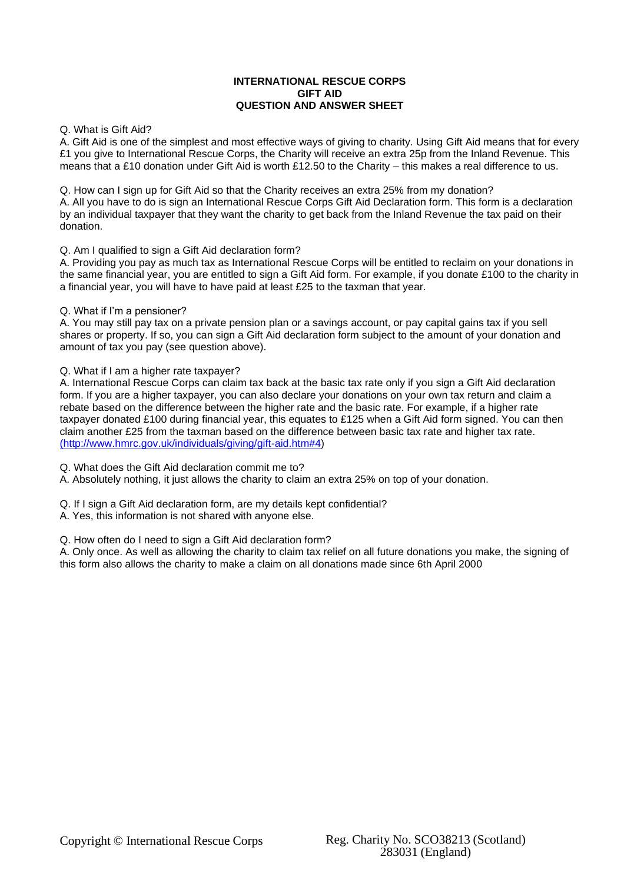#### **INTERNATIONAL RESCUE CORPS GIFT AID QUESTION AND ANSWER SHEET**

#### Q. What is Gift Aid?

A. Gift Aid is one of the simplest and most effective ways of giving to charity. Using Gift Aid means that for every £1 you give to International Rescue Corps, the Charity will receive an extra 25p from the Inland Revenue. This means that a £10 donation under Gift Aid is worth £12.50 to the Charity – this makes a real difference to us.

Q. How can I sign up for Gift Aid so that the Charity receives an extra 25% from my donation? A. All you have to do is sign an International Rescue Corps Gift Aid Declaration form. This form is a declaration by an individual taxpayer that they want the charity to get back from the Inland Revenue the tax paid on their donation.

#### Q. Am I qualified to sign a Gift Aid declaration form?

A. Providing you pay as much tax as International Rescue Corps will be entitled to reclaim on your donations in the same financial year, you are entitled to sign a Gift Aid form. For example, if you donate £100 to the charity in a financial year, you will have to have paid at least £25 to the taxman that year.

#### Q. What if I'm a pensioner?

A. You may still pay tax on a private pension plan or a savings account, or pay capital gains tax if you sell shares or property. If so, you can sign a Gift Aid declaration form subject to the amount of your donation and amount of tax you pay (see question above).

#### Q. What if I am a higher rate taxpayer?

A. International Rescue Corps can claim tax back at the basic tax rate only if you sign a Gift Aid declaration form. If you are a higher taxpayer, you can also declare your donations on your own tax return and claim a rebate based on the difference between the higher rate and the basic rate. For example, if a higher rate taxpayer donated £100 during financial year, this equates to £125 when a Gift Aid form signed. You can then claim another £25 from the taxman based on the difference between basic tax rate and higher tax rate. [\(http://www.hmrc.gov.uk/individuals/giving/gift-aid.htm#4\)](http://www.hmrc.gov.uk/individuals/giving/gift-aid.htm#4)

Q. What does the Gift Aid declaration commit me to?

A. Absolutely nothing, it just allows the charity to claim an extra 25% on top of your donation.

Q. If I sign a Gift Aid declaration form, are my details kept confidential?

A. Yes, this information is not shared with anyone else.

#### Q. How often do I need to sign a Gift Aid declaration form?

A. Only once. As well as allowing the charity to claim tax relief on all future donations you make, the signing of this form also allows the charity to make a claim on all donations made since 6th April 2000